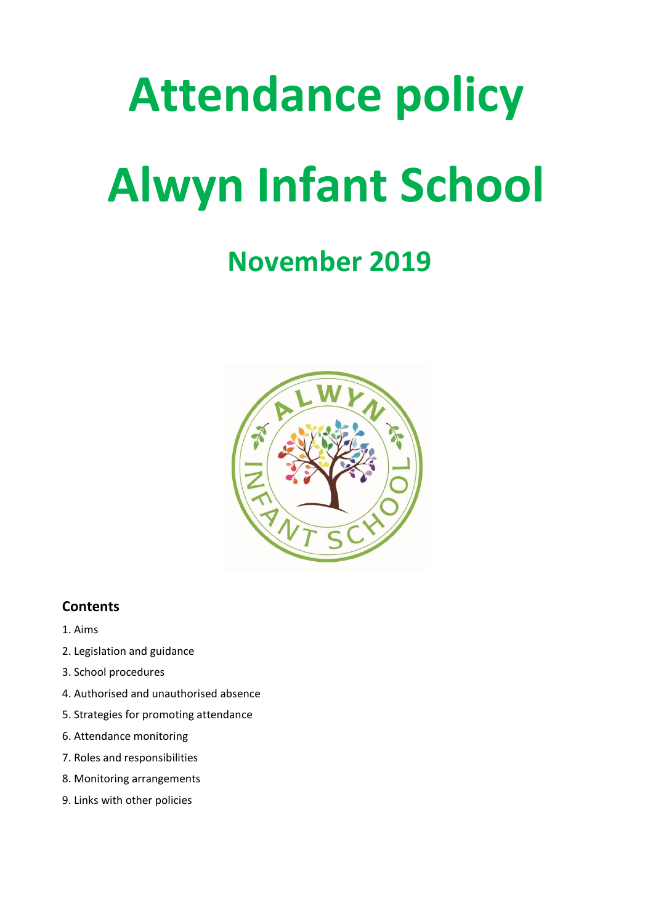# **Attendance policy Alwyn Infant School**

# **November 2019**



# **Contents**

- 1. Aims
- 2. Legislation and guidance
- 3. School procedures
- 4. Authorised and unauthorised absence
- 5. Strategies for promoting attendance
- 6. Attendance monitoring
- 7. Roles and responsibilities
- 8. Monitoring arrangements
- 9. Links with other policies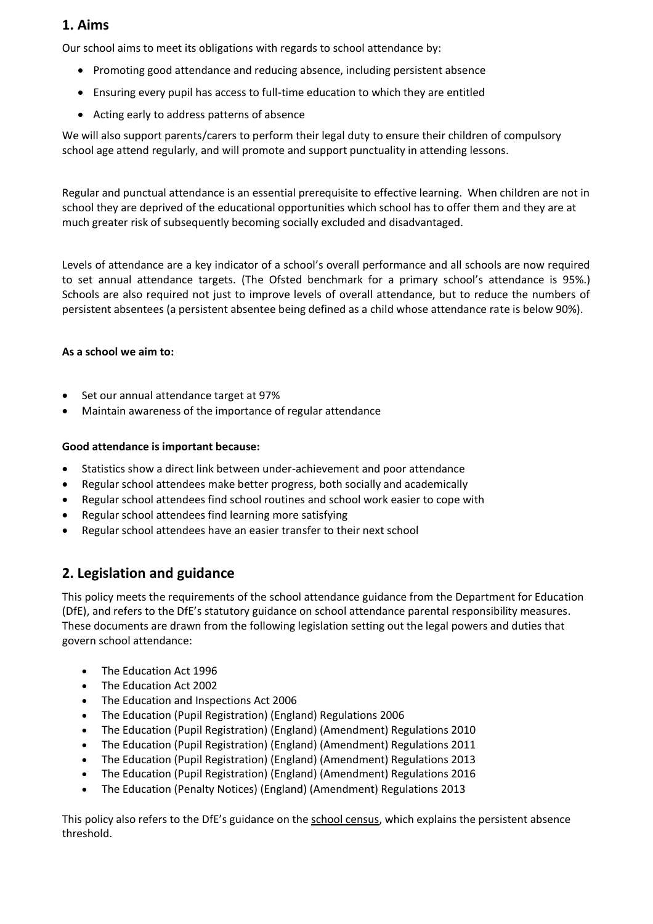# **1. Aims**

Our school aims to meet its obligations with regards to school attendance by:

- Promoting good attendance and reducing absence, including persistent absence
- Ensuring every pupil has access to full-time education to which they are entitled
- Acting early to address patterns of absence

We will also support parents/carers to perform their legal duty to ensure their children of compulsory school age attend regularly, and will promote and support punctuality in attending lessons.

Regular and punctual attendance is an essential prerequisite to effective learning. When children are not in school they are deprived of the educational opportunities which school has to offer them and they are at much greater risk of subsequently becoming socially excluded and disadvantaged.

Levels of attendance are a key indicator of a school's overall performance and all schools are now required to set annual attendance targets. (The Ofsted benchmark for a primary school's attendance is 95%.) Schools are also required not just to improve levels of overall attendance, but to reduce the numbers of persistent absentees (a persistent absentee being defined as a child whose attendance rate is below 90%).

#### **As a school we aim to:**

- Set our annual attendance target at 97%
- Maintain awareness of the importance of regular attendance

#### **Good attendance is important because:**

- Statistics show a direct link between under-achievement and poor attendance
- Regular school attendees make better progress, both socially and academically
- Regular school attendees find school routines and school work easier to cope with
- Regular school attendees find learning more satisfying
- Regular school attendees have an easier transfer to their next school

# **2. Legislation and guidance**

This policy meets the requirements of the [school attendance guidance](https://www.gov.uk/government/publications/school-attendance) from the Department for Education (DfE), and refers to the DfE's statutory guidance on [school attendance parental responsibility measures.](https://www.gov.uk/government/publications/parental-responsibility-measures-for-behaviour-and-attendance) These documents are drawn from the following legislation setting out the legal powers and duties that govern school attendance:

- [The Education Act 1996](https://www.legislation.gov.uk/ukpga/1996/56/part/VI/chapter/II)
- [The Education Act 2002](http://www.legislation.gov.uk/ukpga/2002/32/part/3/chapter/3)
- [The Education and Inspections Act 2006](http://www.legislation.gov.uk/ukpga/2006/40/part/7/chapter/2/crossheading/school-attendance)
- [The Education \(Pupil Registration\) \(England\) Regulations 2006](http://www.legislation.gov.uk/uksi/2006/1751/contents/made)
- [The Education \(Pupil Registration\) \(England\) \(Amendment\) Regulations 2010](http://www.centralbedfordshire.gov.uk/Images/amendment-regulation-2010_tcm3-8642.pdf)
- [The Education \(Pupil Registration\) \(England\) \(Amendment\) Regulations 2011](http://www.legislation.gov.uk/uksi/2011/1625/made)
- [The Education \(Pupil Registration\) \(England\) \(Amendment\) Regulations 2013](http://www.legislation.gov.uk/uksi/2013/756/made)
- [The Education \(Pupil Registration\) \(England\) \(Amendment\) Regulations 2016](http://legislation.data.gov.uk/uksi/2016/792/made/data.html)
- [The Education \(Penalty Notices\) \(England\) \(Amendment\) Regulations 2013](http://www.legislation.gov.uk/uksi/2013/756/pdfs/uksiem_20130756_en.pdf)

This policy also refers to the DfE's guidance on the [school census,](https://www.gov.uk/government/publications/school-census-2017-to-2018-guide-for-schools-and-las) which explains the persistent absence threshold.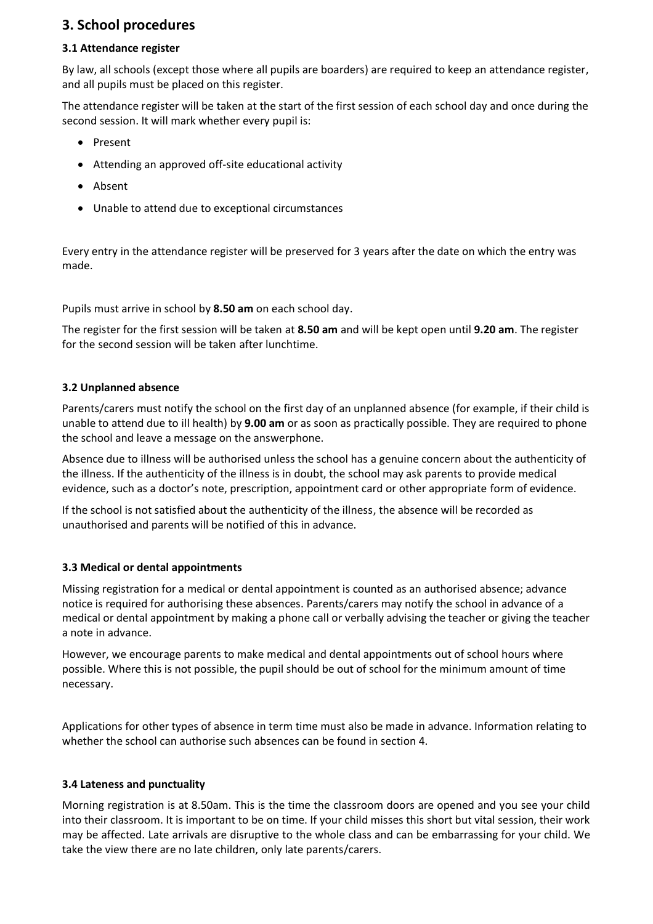# **3. School procedures**

#### **3.1 Attendance register**

By law, all schools (except those where all pupils are boarders) are required to keep an attendance register, and all pupils must be placed on this register.

The attendance register will be taken at the start of the first session of each school day and once during the second session. It will mark whether every pupil is:

- Present
- Attending an approved off-site educational activity
- Absent
- Unable to attend due to exceptional circumstances

Every entry in the attendance register will be preserved for 3 years after the date on which the entry was made.

Pupils must arrive in school by **8.50 am** on each school day.

The register for the first session will be taken at **8.50 am** and will be kept open until **9.20 am**. The register for the second session will be taken after lunchtime.

#### **3.2 Unplanned absence**

Parents/carers must notify the school on the first day of an unplanned absence (for example, if their child is unable to attend due to ill health) by **9.00 am** or as soon as practically possible. They are required to phone the school and leave a message on the answerphone.

Absence due to illness will be authorised unless the school has a genuine concern about the authenticity of the illness. If the authenticity of the illness is in doubt, the school may ask parents to provide medical evidence, such as a doctor's note, prescription, appointment card or other appropriate form of evidence.

If the school is not satisfied about the authenticity of the illness, the absence will be recorded as unauthorised and parents will be notified of this in advance.

#### **3.3 Medical or dental appointments**

Missing registration for a medical or dental appointment is counted as an authorised absence; advance notice is required for authorising these absences. Parents/carers may notify the school in advance of a medical or dental appointment by making a phone call or verbally advising the teacher or giving the teacher a note in advance.

However, we encourage parents to make medical and dental appointments out of school hours where possible. Where this is not possible, the pupil should be out of school for the minimum amount of time necessary.

Applications for other types of absence in term time must also be made in advance. Information relating to whether the school can authorise such absences can be found in section 4.

#### **3.4 Lateness and punctuality**

Morning registration is at 8.50am. This is the time the classroom doors are opened and you see your child into their classroom. It is important to be on time. If your child misses this short but vital session, their work may be affected. Late arrivals are disruptive to the whole class and can be embarrassing for your child. We take the view there are no late children, only late parents/carers.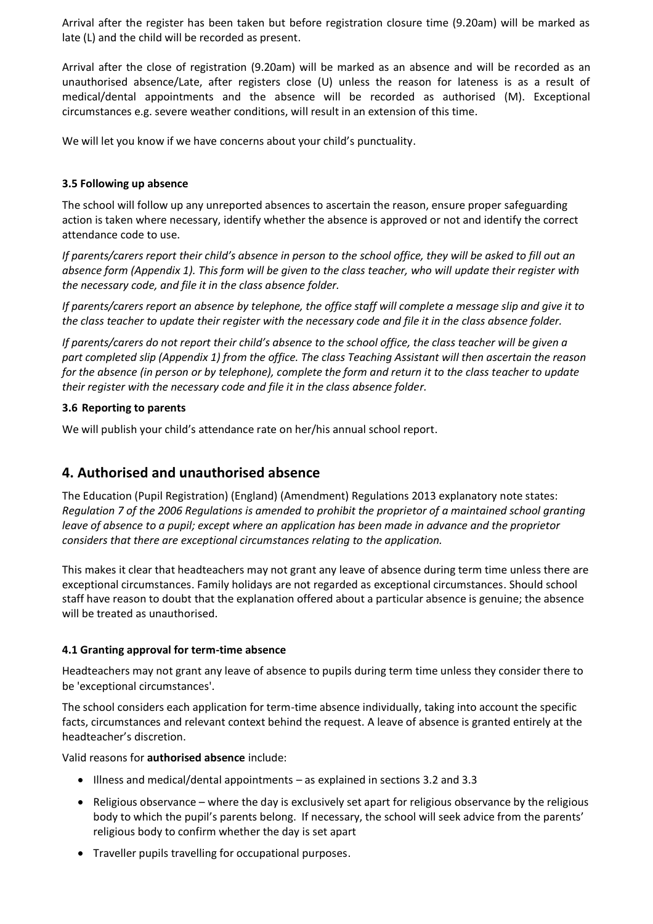Arrival after the register has been taken but before registration closure time (9.20am) will be marked as late (L) and the child will be recorded as present.

Arrival after the close of registration (9.20am) will be marked as an absence and will be recorded as an unauthorised absence/Late, after registers close (U) unless the reason for lateness is as a result of medical/dental appointments and the absence will be recorded as authorised (M). Exceptional circumstances e.g. severe weather conditions, will result in an extension of this time.

We will let you know if we have concerns about your child's punctuality.

#### **3.5 Following up absence**

The school will follow up any unreported absences to ascertain the reason, ensure proper safeguarding action is taken where necessary, identify whether the absence is approved or not and identify the correct attendance code to use.

*If parents/carers report their child's absence in person to the school office, they will be asked to fill out an absence form (Appendix 1). This form will be given to the class teacher, who will update their register with the necessary code, and file it in the class absence folder.*

*If parents/carers report an absence by telephone, the office staff will complete a message slip and give it to the class teacher to update their register with the necessary code and file it in the class absence folder.*

*If parents/carers do not report their child's absence to the school office, the class teacher will be given a part completed slip (Appendix 1) from the office. The class Teaching Assistant will then ascertain the reason for the absence (in person or by telephone), complete the form and return it to the class teacher to update their register with the necessary code and file it in the class absence folder.*

#### **3.6 Reporting to parents**

We will publish your child's attendance rate on her/his annual school report.

# **4. Authorised and unauthorised absence**

The Education (Pupil Registration) (England) (Amendment) Regulations 2013 explanatory note states: *Regulation 7 of the 2006 Regulations is amended to prohibit the proprietor of a maintained school granting leave of absence to a pupil; except where an application has been made in advance and the proprietor considers that there are exceptional circumstances relating to the application.*

This makes it clear that headteachers may not grant any leave of absence during term time unless there are exceptional circumstances. Family holidays are not regarded as exceptional circumstances. Should school staff have reason to doubt that the explanation offered about a particular absence is genuine; the absence will be treated as unauthorised.

#### **4.1 Granting approval for term-time absence**

Headteachers may not grant any leave of absence to pupils during term time unless they consider there to be 'exceptional circumstances'.

The school considers each application for term-time absence individually, taking into account the specific facts, circumstances and relevant context behind the request. A leave of absence is granted entirely at the headteacher's discretion.

Valid reasons for **authorised absence** include:

- Illness and medical/dental appointments as explained in sections 3.2 and 3.3
- $\bullet$  Religious observance where the day is exclusively set apart for religious observance by the religious body to which the pupil's parents belong. If necessary, the school will seek advice from the parents' religious body to confirm whether the day is set apart
- Traveller pupils travelling for occupational purposes.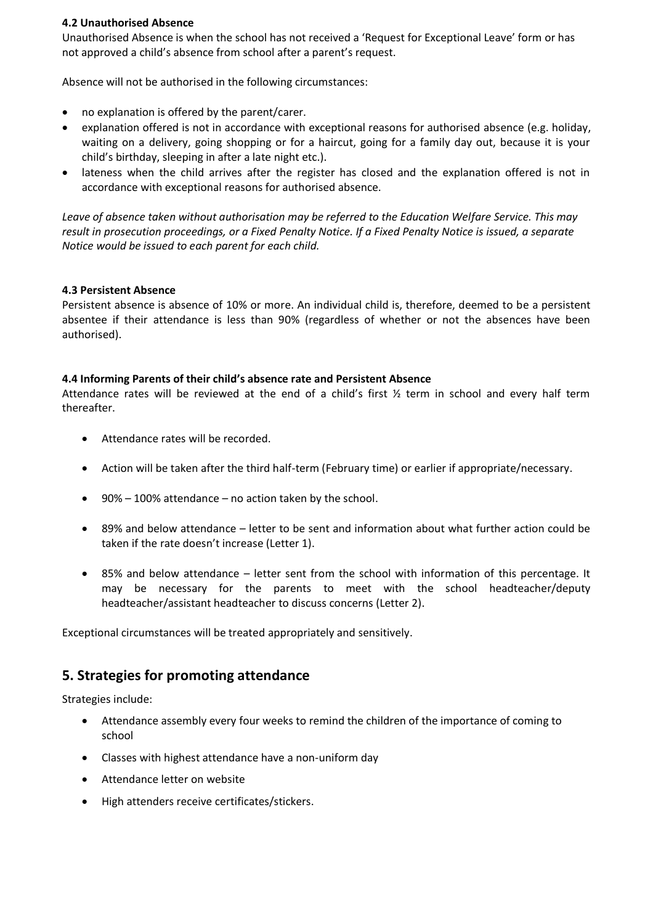#### **4.2 Unauthorised Absence**

Unauthorised Absence is when the school has not received a 'Request for Exceptional Leave' form or has not approved a child's absence from school after a parent's request.

Absence will not be authorised in the following circumstances:

- no explanation is offered by the parent/carer.
- explanation offered is not in accordance with exceptional reasons for authorised absence (e.g. holiday, waiting on a delivery, going shopping or for a haircut, going for a family day out, because it is your child's birthday, sleeping in after a late night etc.).
- lateness when the child arrives after the register has closed and the explanation offered is not in accordance with exceptional reasons for authorised absence.

*Leave of absence taken without authorisation may be referred to the Education Welfare Service. This may result in prosecution proceedings, or a Fixed Penalty Notice. If a Fixed Penalty Notice is issued, a separate Notice would be issued to each parent for each child.*

#### **4.3 Persistent Absence**

Persistent absence is absence of 10% or more. An individual child is, therefore, deemed to be a persistent absentee if their attendance is less than 90% (regardless of whether or not the absences have been authorised).

#### **4.4 Informing Parents of their child's absence rate and Persistent Absence**

Attendance rates will be reviewed at the end of a child's first ½ term in school and every half term thereafter.

- Attendance rates will be recorded.
- Action will be taken after the third half-term (February time) or earlier if appropriate/necessary.
- $\bullet$  90% 100% attendance no action taken by the school.
- 89% and below attendance letter to be sent and information about what further action could be taken if the rate doesn't increase (Letter 1).
- 85% and below attendance letter sent from the school with information of this percentage. It may be necessary for the parents to meet with the school headteacher/deputy headteacher/assistant headteacher to discuss concerns (Letter 2).

Exceptional circumstances will be treated appropriately and sensitively.

# **5. Strategies for promoting attendance**

Strategies include:

- Attendance assembly every four weeks to remind the children of the importance of coming to school
- Classes with highest attendance have a non-uniform day
- Attendance letter on website
- High attenders receive certificates/stickers.